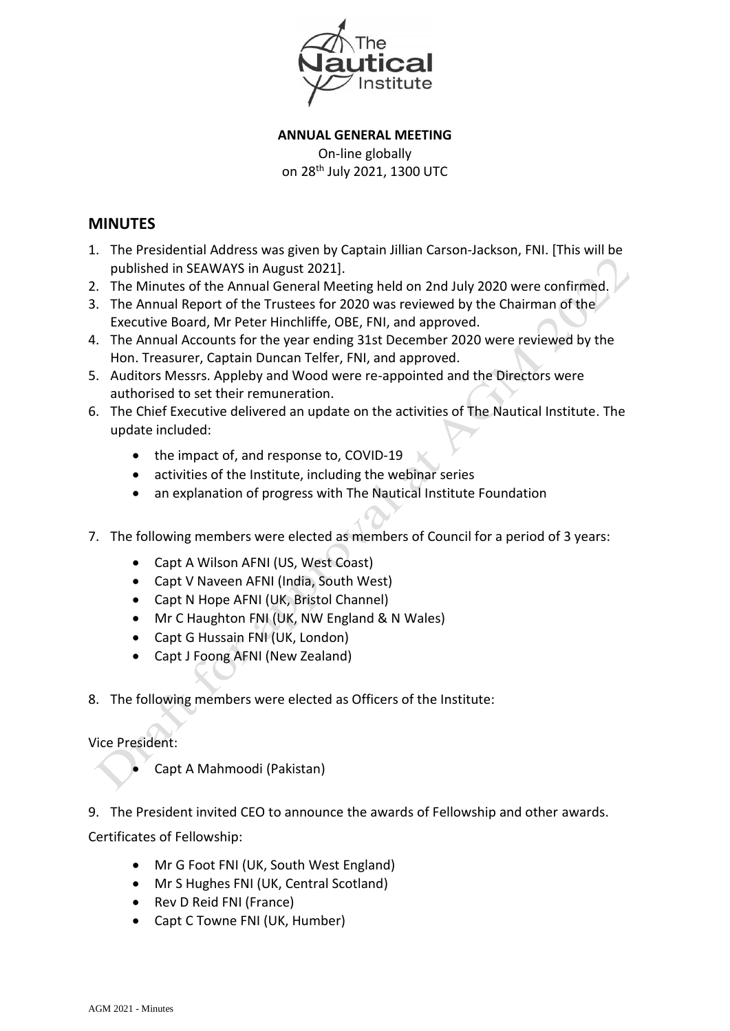

**ANNUAL GENERAL MEETING** On-line globally on 28<sup>th</sup> July 2021, 1300 UTC

## **MINUTES**

- 1. The Presidential Address was given by Captain Jillian Carson-Jackson, FNI. [This will be published in SEAWAYS in August 2021].
- 2. The Minutes of the Annual General Meeting held on 2nd July 2020 were confirmed.
- 3. The Annual Report of the Trustees for 2020 was reviewed by the Chairman of the Executive Board, Mr Peter Hinchliffe, OBE, FNI, and approved.
- 4. The Annual Accounts for the year ending 31st December 2020 were reviewed by the Hon. Treasurer, Captain Duncan Telfer, FNI, and approved.
- 5. Auditors Messrs. Appleby and Wood were re-appointed and the Directors were authorised to set their remuneration.
- 6. The Chief Executive delivered an update on the activities of The Nautical Institute. The update included:
	- $\bullet$  the impact of, and response to, COVID-19
	- activities of the Institute, including the webinar series
	- an explanation of progress with The Nautical Institute Foundation
- 7. The following members were elected as members of Council for a period of 3 years:
	- Capt A Wilson AFNI (US, West Coast)
	- Capt V Naveen AFNI (India, South West)
	- Capt N Hope AFNI (UK, Bristol Channel)
	- Mr C Haughton FNI (UK, NW England & N Wales)
	- Capt G Hussain FNI (UK, London)
	- Capt J Foong AFNI (New Zealand)
- 8. The following members were elected as Officers of the Institute:

## Vice President:

Capt A Mahmoodi (Pakistan)

9. The President invited CEO to announce the awards of Fellowship and other awards.

Certificates of Fellowship:

- Mr G Foot FNI (UK, South West England)
- Mr S Hughes FNI (UK, Central Scotland)
- Rev D Reid FNI (France)
- Capt C Towne FNI (UK, Humber)